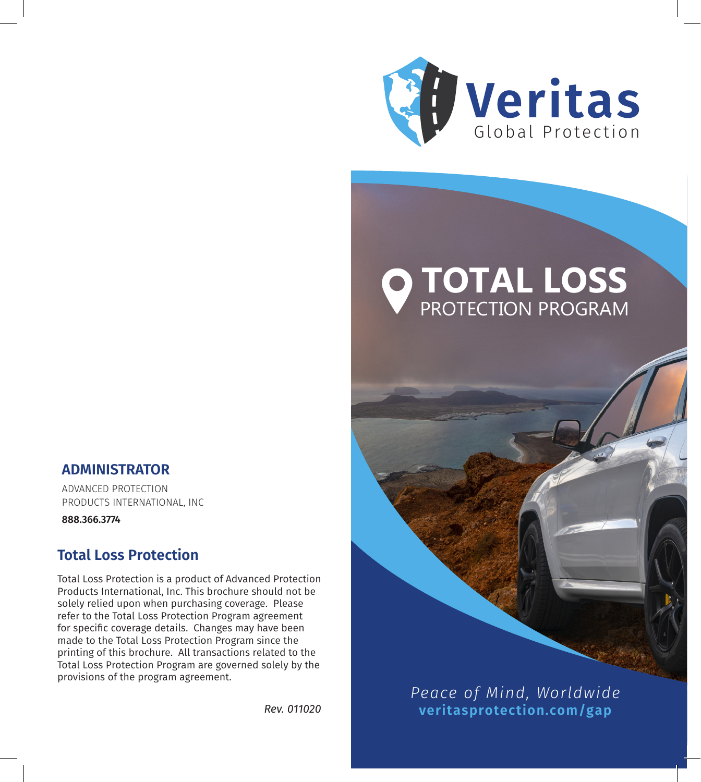

# **TOTAL LOSS**  PROTECTION PROGRAM

## **ADMINISTRATOR**

ADVANCED PROTECTION PRODUCTS INTERNATIONAL, INC

**888.366.3774**

# **Total Loss Protection**

Total Loss Protection is a product of Advanced Protection Products International, Inc. This brochure should not be solely relied upon when purchasing coverage. Please refer to the Total Loss Protection Program agreement for specific coverage details. Changes may have been made to the Total Loss Protection Program since the printing of this brochure. All transactions related to the Total Loss Protection Program are governed solely by the provisions of the program agreement.



*Peace of Mind, Worldwide Rev. 011020* **veritasprotection.com/gap**